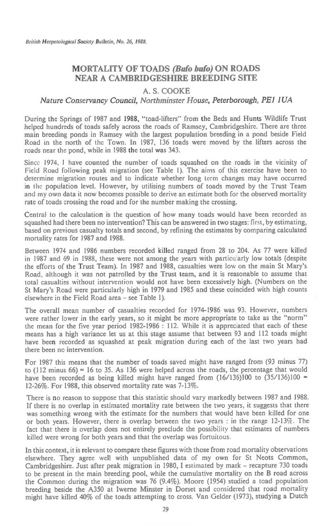# **MORTALITY OF TOADS (Bufo bufo) ON ROADS NEAR A CAMBRIDGESHIRE BREEDING SITE**

## A. S. COOKE

### *Nature Conservancy Council, Northminster House, Peterborough, PEI 1 UA*

During the Springs of 1987 and 1988, "toad-lifters" from the Beds and Hunts Wildlife Trust helped hundreds of toads safely across the roads of Ramsey, Cambridgeshire. There are three main breeding ponds in Ramsey with the largest population breeding in a pond beside Field Road in the north of the Town. In 1987, 136 toads were moved by the lifters across the roads near the pond, while in 1988 the total was 343.

Since 1974, I have counted the number of toads squashed on the roads in the vicinity of Field Road following peak migration (see Table 1). The aims of this exercise have been to determine migration routes and to indicate whether long term changes may have occurred in the population level. However, by utilising numbers of toads moved by the Trust Team and my own data it now becomes possible to derive an estimate both for the observed mortality rate of toads crossing the road and for the number making the crossing.

Central to the calculation is the question of how many toads would have been recorded as squashed had there been no intervention? This can be answered in two stages: first, by estimating, based on previous casualty totals and second, by refining the estimates by comparing calculated mortality rates for 1987 and 1988.

Between 1974 and 1986 numbers recorded killed ranged from 28 to 204. As 77 were killed in 1987 and 69 in 1988, these were not among the years with particularly low totals (despite the efforts of the Trust Team). In 1987 and 1988, casualties were low on the main St Mary's Road, although it was not patrolled by the Trust team, and it is reasonable to assume that total casualties without intervention would not have been excessively high. (Numbers on the St Mary's Road were particularly high in 1979 and 1985 and these coincided with high counts elsewhere in the Field Road area - see Table 1).

The overall mean number of casualties recorded for 1974-1986 was 93. However, numbers were rather lower in the early years, so it might be more appropriate to take as the "norm" the mean for the five year period 1982-1986 : 112. While it is appreciated that each of these means has a high variance let us at this stage assume that between 93 and 112 toads might have been recorded as squashed at peak migration during each of the last two years had there been no intervention.

For 1987 this means that the number of toads saved might have ranged from (93 minus 77) to  $(112 \text{ minus } 66) = 16$  to 35. As 136 were helped across the roads, the percentage that would have been recorded as being killed might have ranged from  $(16/136)100$  to  $(35/136)100$  = 12-26%. For 1988, this observed mortality rate was 7-13%.

There is no reason to suppose that this statistic should vary markedly between 1987 and 1988. If there is no overlap in estimated mortality rate between the two years, it suggests that there was something wrong with the estimate for the numbers that would have been killed for one or both years. However, there is overlap between the two years : in the range 12-13%. The fact that there is overlap does not entirely preclude the possibility that estimates of numbers killed were wrong for both years and that the overlap was fortuitous.

In this context, it is relevant to compare these figures with those from road mortality observations elsewhere. They agree well with unpublished data of my own for St Neots Common, Cambridgeshire. Just after peak migration in 1980, I estimated by mark - recapture 730 toads to be present in the main breeding pool, while the cumulative mortality on the **B** road across the Common during the migration was 76 (9.4%). Moore (1954) studied a toad population breeding beside the A350 at Iwerne Minster in Dorset and considered that road mortality might have killed 40% of the toads attempting to cross. Van Gelder (1973), studying a Dutch